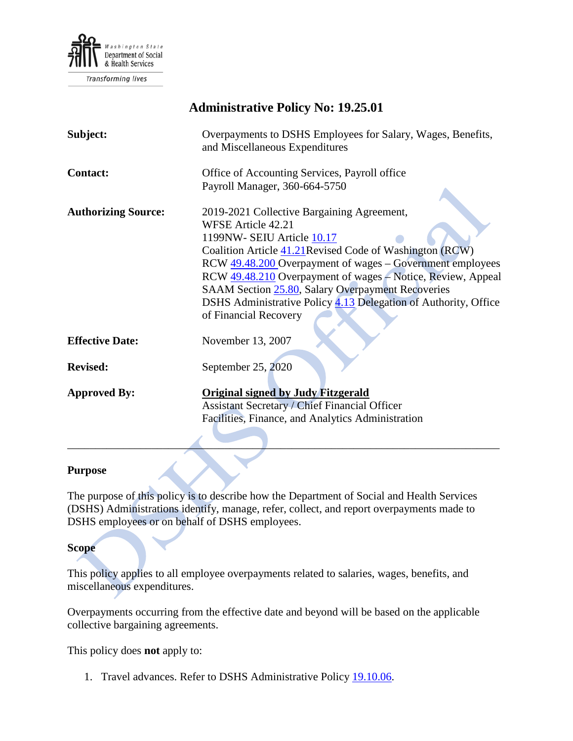

**Transforming lives** 

| <b>Administrative Policy No: 19.25.01</b> |                                                                                                                                                                                                                                                                                                                                                                                                                                               |
|-------------------------------------------|-----------------------------------------------------------------------------------------------------------------------------------------------------------------------------------------------------------------------------------------------------------------------------------------------------------------------------------------------------------------------------------------------------------------------------------------------|
| Subject:                                  | Overpayments to DSHS Employees for Salary, Wages, Benefits,<br>and Miscellaneous Expenditures                                                                                                                                                                                                                                                                                                                                                 |
| <b>Contact:</b>                           | Office of Accounting Services, Payroll office                                                                                                                                                                                                                                                                                                                                                                                                 |
|                                           | Payroll Manager, 360-664-5750                                                                                                                                                                                                                                                                                                                                                                                                                 |
| <b>Authorizing Source:</b>                | 2019-2021 Collective Bargaining Agreement,<br><b>WFSE Article 42.21</b><br>1199NW-SEIU Article 10.17<br>Coalition Article 41.21 Revised Code of Washington (RCW)<br>RCW 49.48.200 Overpayment of wages – Government employees<br>RCW 49.48.210 Overpayment of wages - Notice, Review, Appeal<br>SAAM Section 25.80, Salary Overpayment Recoveries<br>DSHS Administrative Policy 4.13 Delegation of Authority, Office<br>of Financial Recovery |
| <b>Effective Date:</b>                    | November 13, 2007                                                                                                                                                                                                                                                                                                                                                                                                                             |
| <b>Revised:</b>                           | September 25, 2020                                                                                                                                                                                                                                                                                                                                                                                                                            |
| <b>Approved By:</b>                       | <b>Original signed by Judy Fitzgerald</b><br><b>Assistant Secretary / Chief Financial Officer</b><br>Facilities, Finance, and Analytics Administration                                                                                                                                                                                                                                                                                        |

#### **Purpose**

The purpose of this policy is to describe how the Department of Social and Health Services (DSHS) Administrations identify, manage, refer, collect, and report overpayments made to DSHS employees or on behalf of DSHS employees.

\_\_\_\_\_\_\_\_\_\_\_\_\_\_\_\_\_\_\_\_\_\_\_\_\_\_\_\_\_\_\_\_\_\_\_\_\_\_\_\_\_\_\_\_\_\_\_\_\_\_\_\_\_\_\_\_\_\_\_\_\_\_\_\_\_\_\_\_\_\_\_\_\_\_\_\_\_

#### **Scope**

This policy applies to all employee overpayments related to salaries, wages, benefits, and miscellaneous expenditures.

Overpayments occurring from the effective date and beyond will be based on the applicable collective bargaining agreements.

This policy does **not** apply to:

1. Travel advances. Refer to DSHS Administrative Policy [19.10.06.](http://one.dshs.wa.lcl/Policies/Administrative/DSHS-AP-19-10-06.pdf)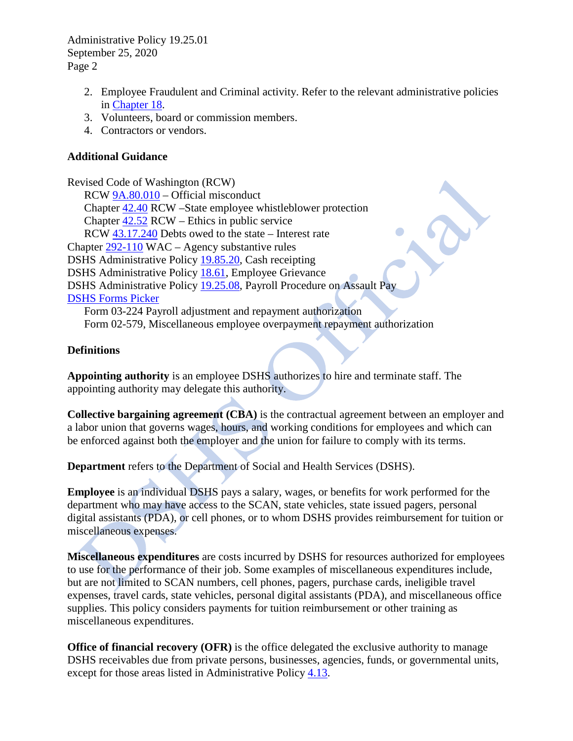Administrative Policy 19.25.01 September 25, 2020 Page 2

- 2. Employee Fraudulent and Criminal activity. Refer to the relevant administrative policies in [Chapter 18.](http://one.dshs.wa.lcl/policies/Pages/default.aspx)
- 3. Volunteers, board or commission members.
- 4. Contractors or vendors.

# **Additional Guidance**

Revised Code of Washington (RCW) RCW [9A.80.010](http://apps.leg.wa.gov/RCW/default.aspx?cite=9A.80.010) – Official misconduct Chapter [42.40](http://apps.leg.wa.gov/RCW/default.aspx?cite=42.40) RCW –State employee whistleblower protection Chapter [42.52](http://apps.leg.wa.gov/RCW/default.aspx?cite=42.52) RCW – Ethics in public service RCW [43.17.240](http://apps.leg.wa.gov/RCW/default.aspx?cite=43.17.240) Debts owed to the state – Interest rate Chapter [292-110](http://apps.leg.wa.gov/WAC/default.aspx?cite=292-110) WAC – Agency substantive rules DSHS Administrative Policy [19.85.20,](http://one.dshs.wa.lcl/Policies/Administrative/DSHS-AP-19-85-20.pdf) Cash receipting DSHS Administrative Policy [18.61,](http://one.dshs.wa.lcl/Policies/Administrative/DSHS-AP-18-61.pdf) Employee Grievance DSHS Administrative Policy [19.25.08,](http://one.dshs.wa.lcl/Policies/Administrative/DSHS-AP-19-25-08.pdf) Payroll Procedure on Assault Pay [DSHS Forms Picker](http://forms.dshs.wa.lcl/) Form [03-224](http://asd.dshs.wa.gov/FormsMan/formDetails.aspx?ID=111) Payroll adjustment and repayment authorization Form 02-579, Miscellaneous employee overpayment repayment authorization

#### **Definitions**

**Appointing authority** is an employee DSHS authorizes to hire and terminate staff. The appointing authority may delegate this authority.

**Collective bargaining agreement (CBA)** is the contractual agreement between an employer and a labor union that governs wages, hours, and working conditions for employees and which can be enforced against both the employer and the union for failure to comply with its terms.

**Department** refers to the Department of Social and Health Services (DSHS).

**Employee** is an individual DSHS pays a salary, wages, or benefits for work performed for the department who may have access to the SCAN, state vehicles, state issued pagers, personal digital assistants (PDA), or cell phones, or to whom DSHS provides reimbursement for tuition or miscellaneous expenses.

**Miscellaneous expenditures** are costs incurred by DSHS for resources authorized for employees to use for the performance of their job. Some examples of miscellaneous expenditures include, but are not limited to SCAN numbers, cell phones, pagers, purchase cards, ineligible travel expenses, travel cards, state vehicles, personal digital assistants (PDA), and miscellaneous office supplies. This policy considers payments for tuition reimbursement or other training as miscellaneous expenditures.

**Office of financial recovery (OFR)** is the office delegated the exclusive authority to manage DSHS receivables due from private persons, businesses, agencies, funds, or governmental units, except for those areas listed in Administrative Policy [4.13.](http://one.dshs.wa.lcl/Policies/Administrative/DSHS-AP-04-13.pdf)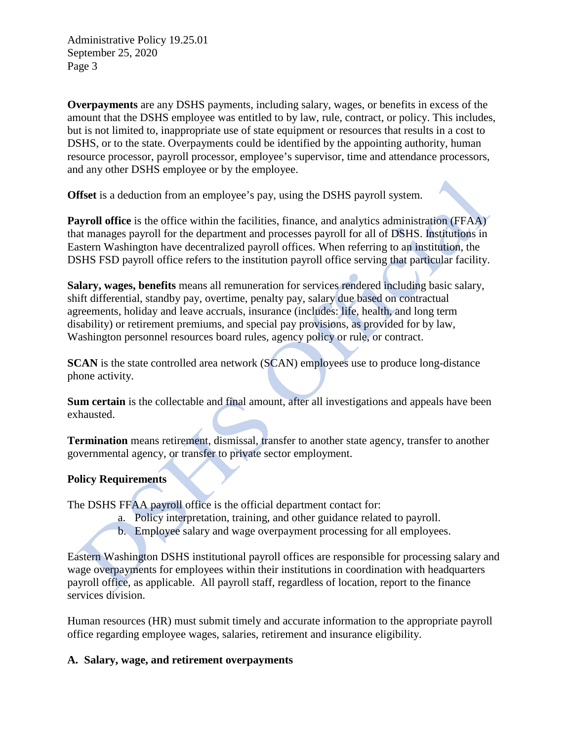Administrative Policy 19.25.01 September 25, 2020 Page 3

**Overpayments** are any DSHS payments, including salary, wages, or benefits in excess of the amount that the DSHS employee was entitled to by law, rule, contract, or policy. This includes, but is not limited to, inappropriate use of state equipment or resources that results in a cost to DSHS, or to the state. Overpayments could be identified by the appointing authority, human resource processor, payroll processor, employee's supervisor, time and attendance processors, and any other DSHS employee or by the employee.

**Offset** is a deduction from an employee's pay, using the DSHS payroll system.

**Payroll office** is the office within the facilities, finance, and analytics administration (FFAA) that manages payroll for the department and processes payroll for all of DSHS. Institutions in Eastern Washington have decentralized payroll offices. When referring to an institution, the DSHS FSD payroll office refers to the institution payroll office serving that particular facility.

**Salary, wages, benefits** means all remuneration for services rendered including basic salary, shift differential, standby pay, overtime, penalty pay, salary due based on contractual agreements, holiday and leave accruals, insurance (includes: life, health, and long term disability) or retirement premiums, and special pay provisions, as provided for by law, Washington personnel resources board rules, agency policy or rule, or contract.

**SCAN** is the state controlled area network (SCAN) employees use to produce long-distance phone activity.

**Sum certain** is the collectable and final amount, after all investigations and appeals have been exhausted.

**Termination** means retirement, dismissal, transfer to another state agency, transfer to another governmental agency, or transfer to private sector employment.

# **Policy Requirements**

The DSHS FFAA payroll office is the official department contact for:

- a. Policy interpretation, training, and other guidance related to payroll.
- b. Employee salary and wage overpayment processing for all employees.

Eastern Washington DSHS institutional payroll offices are responsible for processing salary and wage overpayments for employees within their institutions in coordination with headquarters payroll office, as applicable. All payroll staff, regardless of location, report to the finance services division.

Human resources (HR) must submit timely and accurate information to the appropriate payroll office regarding employee wages, salaries, retirement and insurance eligibility.

# **A. Salary, wage, and retirement overpayments**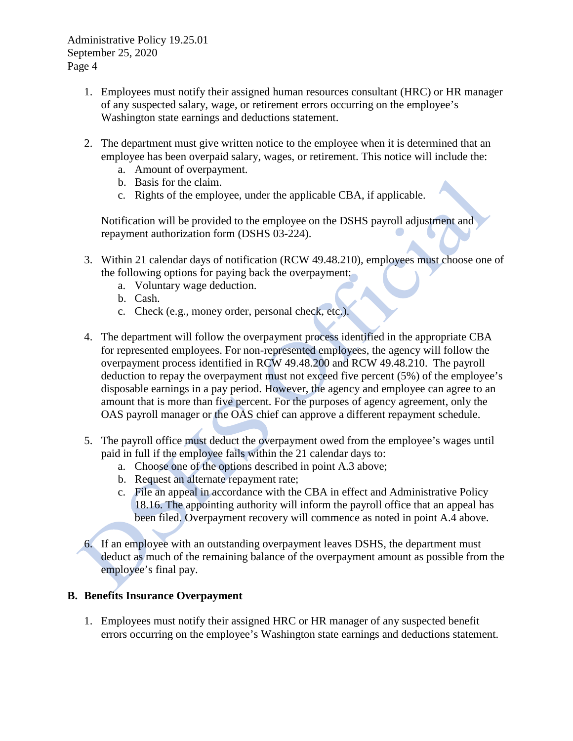- 1. Employees must notify their assigned human resources consultant (HRC) or HR manager of any suspected salary, wage, or retirement errors occurring on the employee's Washington state earnings and deductions statement.
- 2. The department must give written notice to the employee when it is determined that an employee has been overpaid salary, wages, or retirement. This notice will include the:
	- a. Amount of overpayment.
	- b. Basis for the claim.
	- c. Rights of the employee, under the applicable CBA, if applicable.

Notification will be provided to the employee on the DSHS payroll adjustment and repayment authorization form (DSHS 03-224).

- 3. Within 21 calendar days of notification (RCW 49.48.210), employees must choose one of the following options for paying back the overpayment:
	- a. Voluntary wage deduction.
	- b. Cash.
	- c. Check (e.g., money order, personal check, etc.).
- 4. The department will follow the overpayment process identified in the appropriate CBA for represented employees. For non-represented employees, the agency will follow the overpayment process identified in RCW 49.48.200 and RCW 49.48.210. The payroll deduction to repay the overpayment must not exceed five percent (5%) of the employee's disposable earnings in a pay period. However, the agency and employee can agree to an amount that is more than five percent. For the purposes of agency agreement, only the OAS payroll manager or the OAS chief can approve a different repayment schedule.
- 5. The payroll office must deduct the overpayment owed from the employee's wages until paid in full if the employee fails within the 21 calendar days to:
	- a. Choose one of the options described in point A.3 above;
	- b. Request an alternate repayment rate;
	- c. File an appeal in accordance with the CBA in effect and Administrative Policy 18.16. The appointing authority will inform the payroll office that an appeal has been filed. Overpayment recovery will commence as noted in point A.4 above.
- 6. If an employee with an outstanding overpayment leaves DSHS, the department must deduct as much of the remaining balance of the overpayment amount as possible from the employee's final pay.

# **B. Benefits Insurance Overpayment**

1. Employees must notify their assigned HRC or HR manager of any suspected benefit errors occurring on the employee's Washington state earnings and deductions statement.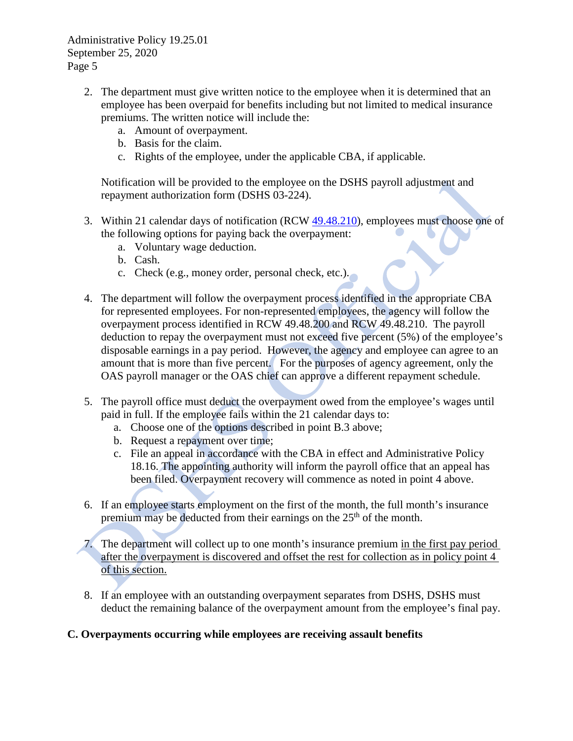- 2. The department must give written notice to the employee when it is determined that an employee has been overpaid for benefits including but not limited to medical insurance premiums. The written notice will include the:
	- a. Amount of overpayment.
	- b. Basis for the claim.
	- c. Rights of the employee, under the applicable CBA, if applicable.

Notification will be provided to the employee on the DSHS payroll adjustment and repayment authorization form (DSHS 03-224).

- 3. Within 21 calendar days of notification (RCW [49.48.210\)](http://apps.leg.wa.gov/RCW/default.aspx?cite=49.48.210), employees must choose one of the following options for paying back the overpayment:
	- a. Voluntary wage deduction.
	- b. Cash.
	- c. Check (e.g., money order, personal check, etc.).
- 4. The department will follow the overpayment process identified in the appropriate CBA for represented employees. For non-represented employees, the agency will follow the overpayment process identified in RCW 49.48.200 and RCW 49.48.210. The payroll deduction to repay the overpayment must not exceed five percent (5%) of the employee's disposable earnings in a pay period. However, the agency and employee can agree to an amount that is more than five percent. For the purposes of agency agreement, only the OAS payroll manager or the OAS chief can approve a different repayment schedule.
- 5. The payroll office must deduct the overpayment owed from the employee's wages until paid in full. If the employee fails within the 21 calendar days to:
	- a. Choose one of the options described in point B.3 above;
	- b. Request a repayment over time;
	- c. File an appeal in accordance with the CBA in effect and Administrative Policy 18.16. The appointing authority will inform the payroll office that an appeal has been filed. Overpayment recovery will commence as noted in point 4 above.
- 6. If an employee starts employment on the first of the month, the full month's insurance premium may be deducted from their earnings on the 25<sup>th</sup> of the month.
- 7. The department will collect up to one month's insurance premium in the first pay period after the overpayment is discovered and offset the rest for collection as in policy point 4 of this section.
- 8. If an employee with an outstanding overpayment separates from DSHS, DSHS must deduct the remaining balance of the overpayment amount from the employee's final pay.

# **C. Overpayments occurring while employees are receiving assault benefits**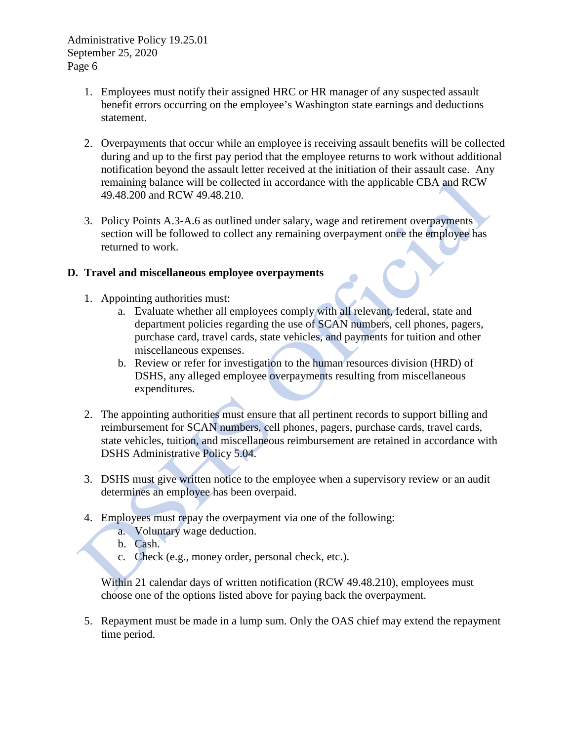- 1. Employees must notify their assigned HRC or HR manager of any suspected assault benefit errors occurring on the employee's Washington state earnings and deductions statement.
- 2. Overpayments that occur while an employee is receiving assault benefits will be collected during and up to the first pay period that the employee returns to work without additional notification beyond the assault letter received at the initiation of their assault case. Any remaining balance will be collected in accordance with the applicable CBA and RCW 49.48.200 and RCW 49.48.210.
- 3. Policy Points A.3-A.6 as outlined under salary, wage and retirement overpayments section will be followed to collect any remaining overpayment once the employee has returned to work.

### **D. Travel and miscellaneous employee overpayments**

- 1. Appointing authorities must:
	- a. Evaluate whether all employees comply with all relevant, federal, state and department policies regarding the use of SCAN numbers, cell phones, pagers, purchase card, travel cards, state vehicles, and payments for tuition and other miscellaneous expenses.
	- b. Review or refer for investigation to the human resources division (HRD) of DSHS, any alleged employee overpayments resulting from miscellaneous expenditures.
- 2. The appointing authorities must ensure that all pertinent records to support billing and reimbursement for SCAN numbers, cell phones, pagers, purchase cards, travel cards, state vehicles, tuition, and miscellaneous reimbursement are retained in accordance with DSHS Administrative Policy 5.04.
- 3. DSHS must give written notice to the employee when a supervisory review or an audit determines an employee has been overpaid.
- 4. Employees must repay the overpayment via one of the following:
	- a. Voluntary wage deduction.
	- b. Cash.
	- c. Check (e.g., money order, personal check, etc.).

Within 21 calendar days of written notification (RCW 49.48.210), employees must choose one of the options listed above for paying back the overpayment.

5. Repayment must be made in a lump sum. Only the OAS chief may extend the repayment time period.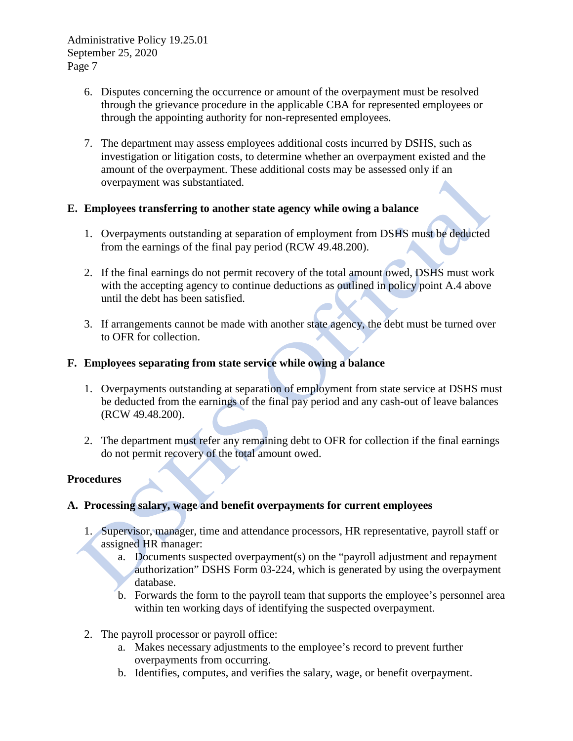- 6. Disputes concerning the occurrence or amount of the overpayment must be resolved through the grievance procedure in the applicable CBA for represented employees or through the appointing authority for non-represented employees.
- 7. The department may assess employees additional costs incurred by DSHS, such as investigation or litigation costs, to determine whether an overpayment existed and the amount of the overpayment. These additional costs may be assessed only if an overpayment was substantiated.

# **E. Employees transferring to another state agency while owing a balance**

- 1. Overpayments outstanding at separation of employment from DSHS must be deducted from the earnings of the final pay period (RCW 49.48.200).
- 2. If the final earnings do not permit recovery of the total amount owed, DSHS must work with the accepting agency to continue deductions as outlined in policy point A.4 above until the debt has been satisfied.
- 3. If arrangements cannot be made with another state agency, the debt must be turned over to OFR for collection.

### **F. Employees separating from state service while owing a balance**

- 1. Overpayments outstanding at separation of employment from state service at DSHS must be deducted from the earnings of the final pay period and any cash-out of leave balances (RCW 49.48.200).
- 2. The department must refer any remaining debt to OFR for collection if the final earnings do not permit recovery of the total amount owed.

#### **Procedures**

# **A. Processing salary, wage and benefit overpayments for current employees**

- 1. Supervisor, manager, time and attendance processors, HR representative, payroll staff or assigned HR manager:
	- a. Documents suspected overpayment(s) on the "payroll adjustment and repayment authorization" DSHS Form [03-224,](http://asd.dshs.wa.gov/FormsMan/formDetails.aspx?ID=111) which is generated by using the overpayment database.
	- b. Forwards the form to the payroll team that supports the employee's personnel area within ten working days of identifying the suspected overpayment.
- 2. The payroll processor or payroll office:
	- a. Makes necessary adjustments to the employee's record to prevent further overpayments from occurring.
	- b. Identifies, computes, and verifies the salary, wage, or benefit overpayment.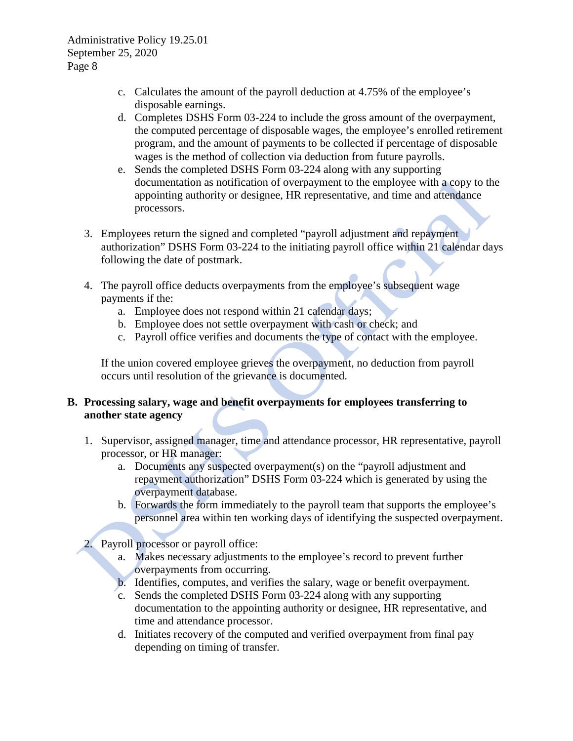- c. Calculates the amount of the payroll deduction at 4.75% of the employee's disposable earnings.
- d. Completes DSHS Form 03-224 to include the gross amount of the overpayment, the computed percentage of disposable wages, the employee's enrolled retirement program, and the amount of payments to be collected if percentage of disposable wages is the method of collection via deduction from future payrolls.
- e. Sends the completed DSHS Form 03-224 along with any supporting documentation as notification of overpayment to the employee with a copy to the appointing authority or designee, HR representative, and time and attendance processors.
- 3. Employees return the signed and completed "payroll adjustment and repayment authorization" DSHS Form [03-224](http://asd.dshs.wa.gov/FormsMan/formDetails.aspx?ID=111) to the initiating payroll office within 21 calendar days following the date of postmark.
- 4. The payroll office deducts overpayments from the employee's subsequent wage payments if the:
	- a. Employee does not respond within 21 calendar days;
	- b. Employee does not settle overpayment with cash or check; and
	- c. Payroll office verifies and documents the type of contact with the employee.

If the union covered employee grieves the overpayment, no deduction from payroll occurs until resolution of the grievance is documented.

# **B. Processing salary, wage and benefit overpayments for employees transferring to another state agency**

- 1. Supervisor, assigned manager, time and attendance processor, HR representative, payroll processor, or HR manager:
	- a. Documents any suspected overpayment(s) on the "payroll adjustment and repayment authorization" DSHS Form 03-224 which is generated by using the overpayment database.
	- b. Forwards the form immediately to the payroll team that supports the employee's personnel area within ten working days of identifying the suspected overpayment.
- 2. Payroll processor or payroll office:
	- a. Makes necessary adjustments to the employee's record to prevent further overpayments from occurring.
	- b. Identifies, computes, and verifies the salary, wage or benefit overpayment.
	- c. Sends the completed DSHS Form 03-224 along with any supporting documentation to the appointing authority or designee, HR representative, and time and attendance processor.
	- d. Initiates recovery of the computed and verified overpayment from final pay depending on timing of transfer.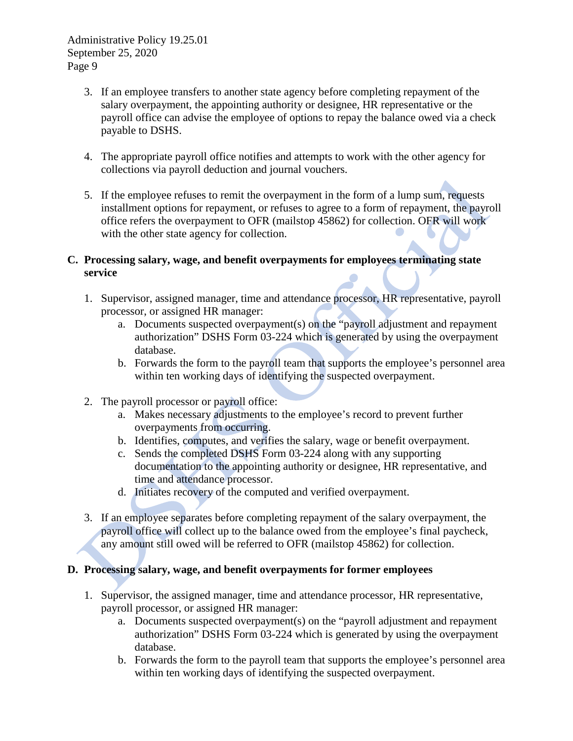- 3. If an employee transfers to another state agency before completing repayment of the salary overpayment, the appointing authority or designee, HR representative or the payroll office can advise the employee of options to repay the balance owed via a check payable to DSHS.
- 4. The appropriate payroll office notifies and attempts to work with the other agency for collections via payroll deduction and journal vouchers.
- 5. If the employee refuses to remit the overpayment in the form of a lump sum, requests installment options for repayment, or refuses to agree to a form of repayment, the payroll office refers the overpayment to OFR (mailstop 45862) for collection. OFR will work with the other state agency for collection.

# **C. Processing salary, wage, and benefit overpayments for employees terminating state service**

- 1. Supervisor, assigned manager, time and attendance processor, HR representative, payroll processor, or assigned HR manager:
	- a. Documents suspected overpayment(s) on the "payroll adjustment and repayment authorization" DSHS Form 03-224 which is generated by using the overpayment database.
	- b. Forwards the form to the payroll team that supports the employee's personnel area within ten working days of identifying the suspected overpayment.
- 2. The payroll processor or payroll office:
	- a. Makes necessary adjustments to the employee's record to prevent further overpayments from occurring.
	- b. Identifies, computes, and verifies the salary, wage or benefit overpayment.
	- c. Sends the completed DSHS Form 03-224 along with any supporting documentation to the appointing authority or designee, HR representative, and time and attendance processor.
	- d. Initiates recovery of the computed and verified overpayment.
- 3. If an employee separates before completing repayment of the salary overpayment, the payroll office will collect up to the balance owed from the employee's final paycheck, any amount still owed will be referred to OFR (mailstop 45862) for collection.

# **D. Processing salary, wage, and benefit overpayments for former employees**

- 1. Supervisor, the assigned manager, time and attendance processor, HR representative, payroll processor, or assigned HR manager:
	- a. Documents suspected overpayment(s) on the "payroll adjustment and repayment authorization" DSHS Form [03-224](http://asd.dshs.wa.gov/forms/wordforms/word/03_224.doc) which is generated by using the overpayment database.
	- b. Forwards the form to the payroll team that supports the employee's personnel area within ten working days of identifying the suspected overpayment.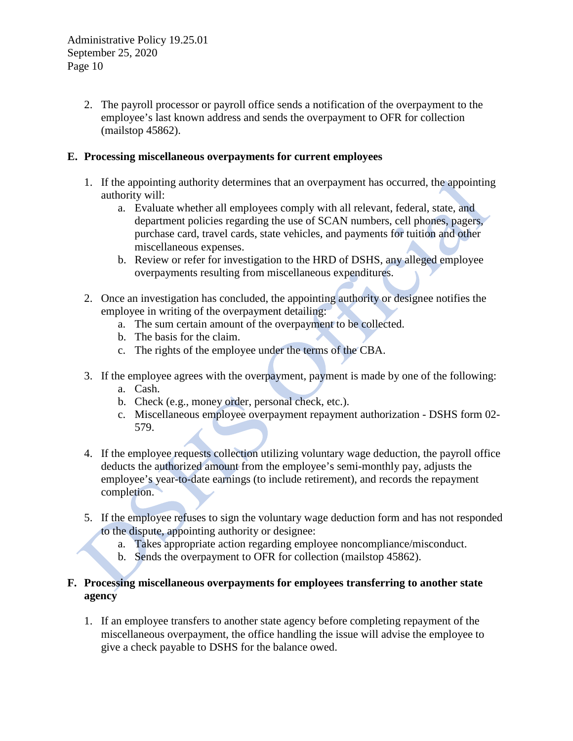2. The payroll processor or payroll office sends a notification of the overpayment to the employee's last known address and sends the overpayment to OFR for collection (mailstop 45862).

# **E. Processing miscellaneous overpayments for current employees**

- 1. If the appointing authority determines that an overpayment has occurred, the appointing authority will:
	- a. Evaluate whether all employees comply with all relevant, federal, state, and department policies regarding the use of SCAN numbers, cell phones, pagers, purchase card, travel cards, state vehicles, and payments for tuition and other miscellaneous expenses.
	- b. Review or refer for investigation to the HRD of DSHS, any alleged employee overpayments resulting from miscellaneous expenditures.
- 2. Once an investigation has concluded, the appointing authority or designee notifies the employee in writing of the overpayment detailing:
	- a. The sum certain amount of the overpayment to be collected.
	- b. The basis for the claim.
	- c. The rights of the employee under the terms of the CBA.
- 3. If the employee agrees with the overpayment, payment is made by one of the following:
	- a. Cash.
	- b. Check (e.g., money order, personal check, etc.).
	- c. Miscellaneous employee overpayment repayment authorization DSHS form 02- 579.
- 4. If the employee requests collection utilizing voluntary wage deduction, the payroll office deducts the authorized amount from the employee's semi-monthly pay, adjusts the employee's year-to-date earnings (to include retirement), and records the repayment completion.
- 5. If the employee refuses to sign the voluntary wage deduction form and has not responded to the dispute, appointing authority or designee:
	- a. Takes appropriate action regarding employee noncompliance/misconduct.
	- b. Sends the overpayment to OFR for collection (mailstop 45862).

# **F. Processing miscellaneous overpayments for employees transferring to another state agency**

1. If an employee transfers to another state agency before completing repayment of the miscellaneous overpayment, the office handling the issue will advise the employee to give a check payable to DSHS for the balance owed.